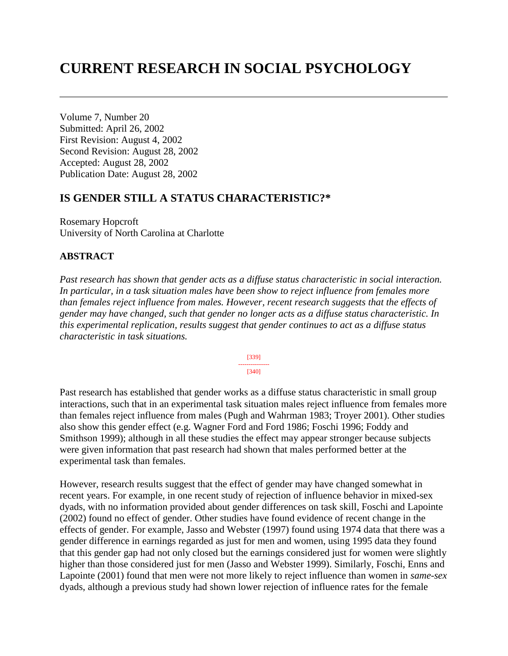# **CURRENT RESEARCH IN SOCIAL PSYCHOLOGY**

Volume 7, Number 20 Submitted: April 26, 2002 First Revision: August 4, 2002 Second Revision: August 28, 2002 Accepted: August 28, 2002 Publication Date: August 28, 2002

## **IS GENDER STILL A STATUS CHARACTERISTIC?\***

Rosemary Hopcroft University of North Carolina at Charlotte

#### **ABSTRACT**

*Past research has shown that gender acts as a diffuse status characteristic in social interaction. In particular, in a task situation males have been show to reject influence from females more than females reject influence from males. However, recent research suggests that the effects of gender may have changed, such that gender no longer acts as a diffuse status characteristic. In this experimental replication, results suggest that gender continues to act as a diffuse status characteristic in task situations.* 



Past research has established that gender works as a diffuse status characteristic in small group interactions, such that in an experimental task situation males reject influence from females more than females reject influence from males (Pugh and Wahrman 1983; Troyer 2001). Other studies also show this gender effect (e.g. Wagner Ford and Ford 1986; Foschi 1996; Foddy and Smithson 1999); although in all these studies the effect may appear stronger because subjects were given information that past research had shown that males performed better at the experimental task than females.

However, research results suggest that the effect of gender may have changed somewhat in recent years. For example, in one recent study of rejection of influence behavior in mixed-sex dyads, with no information provided about gender differences on task skill, Foschi and Lapointe (2002) found no effect of gender. Other studies have found evidence of recent change in the effects of gender. For example, Jasso and Webster (1997) found using 1974 data that there was a gender difference in earnings regarded as just for men and women, using 1995 data they found that this gender gap had not only closed but the earnings considered just for women were slightly higher than those considered just for men (Jasso and Webster 1999). Similarly, Foschi, Enns and Lapointe (2001) found that men were not more likely to reject influence than women in *same-sex* dyads, although a previous study had shown lower rejection of influence rates for the female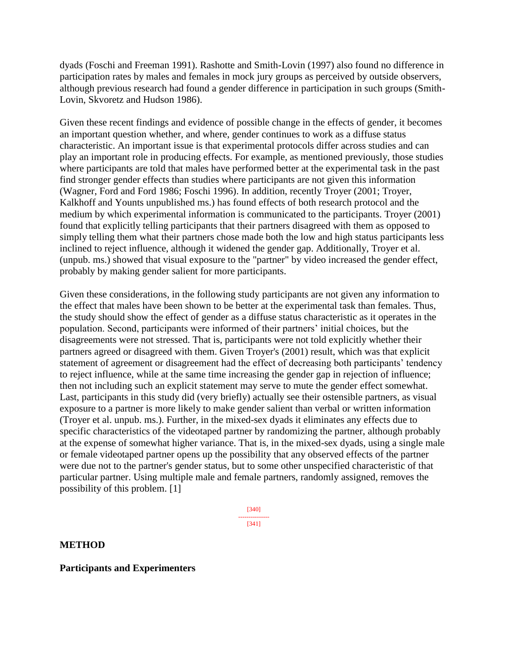dyads (Foschi and Freeman 1991). Rashotte and Smith-Lovin (1997) also found no difference in participation rates by males and females in mock jury groups as perceived by outside observers, although previous research had found a gender difference in participation in such groups (Smith-Lovin, Skvoretz and Hudson 1986).

Given these recent findings and evidence of possible change in the effects of gender, it becomes an important question whether, and where, gender continues to work as a diffuse status characteristic. An important issue is that experimental protocols differ across studies and can play an important role in producing effects. For example, as mentioned previously, those studies where participants are told that males have performed better at the experimental task in the past find stronger gender effects than studies where participants are not given this information (Wagner, Ford and Ford 1986; Foschi 1996). In addition, recently Troyer (2001; Troyer, Kalkhoff and Younts unpublished ms.) has found effects of both research protocol and the medium by which experimental information is communicated to the participants. Troyer (2001) found that explicitly telling participants that their partners disagreed with them as opposed to simply telling them what their partners chose made both the low and high status participants less inclined to reject influence, although it widened the gender gap. Additionally, Troyer et al. (unpub. ms.) showed that visual exposure to the "partner" by video increased the gender effect, probably by making gender salient for more participants.

Given these considerations, in the following study participants are not given any information to the effect that males have been shown to be better at the experimental task than females. Thus, the study should show the effect of gender as a diffuse status characteristic as it operates in the population. Second, participants were informed of their partners' initial choices, but the disagreements were not stressed. That is, participants were not told explicitly whether their partners agreed or disagreed with them. Given Troyer's (2001) result, which was that explicit statement of agreement or disagreement had the effect of decreasing both participants' tendency to reject influence, while at the same time increasing the gender gap in rejection of influence; then not including such an explicit statement may serve to mute the gender effect somewhat. Last, participants in this study did (very briefly) actually see their ostensible partners, as visual exposure to a partner is more likely to make gender salient than verbal or written information (Troyer et al. unpub. ms.). Further, in the mixed-sex dyads it eliminates any effects due to specific characteristics of the videotaped partner by randomizing the partner, although probably at the expense of somewhat higher variance. That is, in the mixed-sex dyads, using a single male or female videotaped partner opens up the possibility that any observed effects of the partner were due not to the partner's gender status, but to some other unspecified characteristic of that particular partner. Using multiple male and female partners, randomly assigned, removes the possibility of this problem. [1]

> [340] --------------- [341]

#### **METHOD**

**Participants and Experimenters**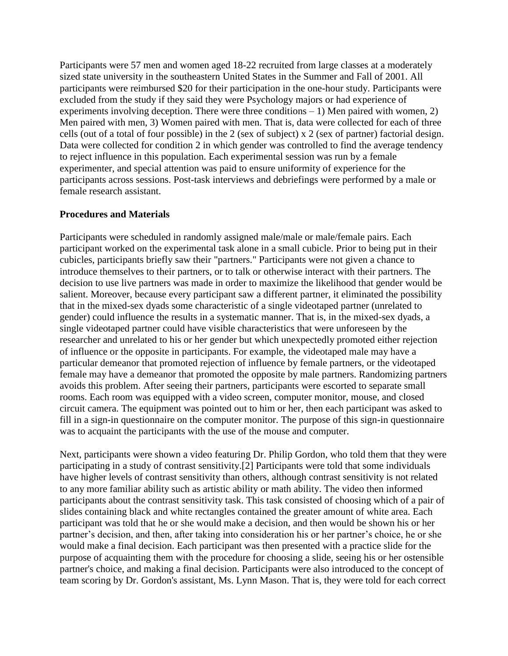Participants were 57 men and women aged 18-22 recruited from large classes at a moderately sized state university in the southeastern United States in the Summer and Fall of 2001. All participants were reimbursed \$20 for their participation in the one-hour study. Participants were excluded from the study if they said they were Psychology majors or had experience of experiments involving deception. There were three conditions  $-1$ ) Men paired with women, 2) Men paired with men, 3) Women paired with men. That is, data were collected for each of three cells (out of a total of four possible) in the 2 (sex of subject) x 2 (sex of partner) factorial design. Data were collected for condition 2 in which gender was controlled to find the average tendency to reject influence in this population. Each experimental session was run by a female experimenter, and special attention was paid to ensure uniformity of experience for the participants across sessions. Post-task interviews and debriefings were performed by a male or female research assistant.

#### **Procedures and Materials**

Participants were scheduled in randomly assigned male/male or male/female pairs. Each participant worked on the experimental task alone in a small cubicle. Prior to being put in their cubicles, participants briefly saw their "partners." Participants were not given a chance to introduce themselves to their partners, or to talk or otherwise interact with their partners. The decision to use live partners was made in order to maximize the likelihood that gender would be salient. Moreover, because every participant saw a different partner, it eliminated the possibility that in the mixed-sex dyads some characteristic of a single videotaped partner (unrelated to gender) could influence the results in a systematic manner. That is, in the mixed-sex dyads, a single videotaped partner could have visible characteristics that were unforeseen by the researcher and unrelated to his or her gender but which unexpectedly promoted either rejection of influence or the opposite in participants. For example, the videotaped male may have a particular demeanor that promoted rejection of influence by female partners, or the videotaped female may have a demeanor that promoted the opposite by male partners. Randomizing partners avoids this problem. After seeing their partners, participants were escorted to separate small rooms. Each room was equipped with a video screen, computer monitor, mouse, and closed circuit camera. The equipment was pointed out to him or her, then each participant was asked to fill in a sign-in questionnaire on the computer monitor. The purpose of this sign-in questionnaire was to acquaint the participants with the use of the mouse and computer.

Next, participants were shown a video featuring Dr. Philip Gordon, who told them that they were participating in a study of contrast sensitivity.[2] Participants were told that some individuals have higher levels of contrast sensitivity than others, although contrast sensitivity is not related to any more familiar ability such as artistic ability or math ability. The video then informed participants about the contrast sensitivity task. This task consisted of choosing which of a pair of slides containing black and white rectangles contained the greater amount of white area. Each participant was told that he or she would make a decision, and then would be shown his or her partner's decision, and then, after taking into consideration his or her partner's choice, he or she would make a final decision. Each participant was then presented with a practice slide for the purpose of acquainting them with the procedure for choosing a slide, seeing his or her ostensible partner's choice, and making a final decision. Participants were also introduced to the concept of team scoring by Dr. Gordon's assistant, Ms. Lynn Mason. That is, they were told for each correct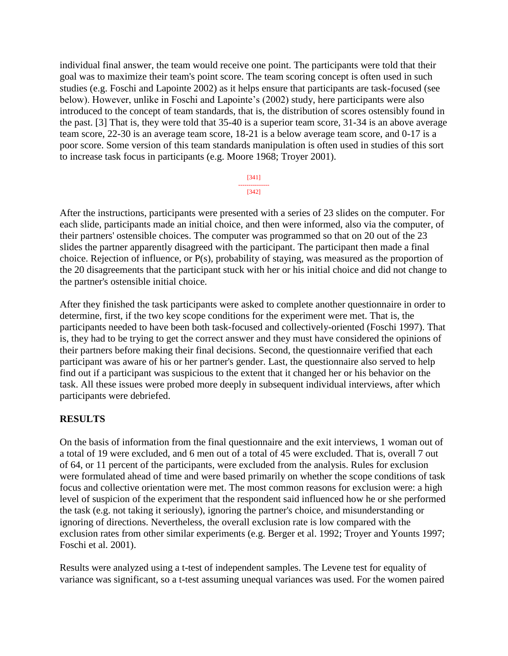individual final answer, the team would receive one point. The participants were told that their goal was to maximize their team's point score. The team scoring concept is often used in such studies (e.g. Foschi and Lapointe 2002) as it helps ensure that participants are task-focused (see below). However, unlike in Foschi and Lapointe's (2002) study, here participants were also introduced to the concept of team standards, that is, the distribution of scores ostensibly found in the past. [3] That is, they were told that 35-40 is a superior team score, 31-34 is an above average team score, 22-30 is an average team score, 18-21 is a below average team score, and 0-17 is a poor score. Some version of this team standards manipulation is often used in studies of this sort to increase task focus in participants (e.g. Moore 1968; Troyer 2001).

| , |
|---|

After the instructions, participants were presented with a series of 23 slides on the computer. For each slide, participants made an initial choice, and then were informed, also via the computer, of their partners' ostensible choices. The computer was programmed so that on 20 out of the 23 slides the partner apparently disagreed with the participant. The participant then made a final choice. Rejection of influence, or P(s), probability of staying, was measured as the proportion of the 20 disagreements that the participant stuck with her or his initial choice and did not change to the partner's ostensible initial choice.

After they finished the task participants were asked to complete another questionnaire in order to determine, first, if the two key scope conditions for the experiment were met. That is, the participants needed to have been both task-focused and collectively-oriented (Foschi 1997). That is, they had to be trying to get the correct answer and they must have considered the opinions of their partners before making their final decisions. Second, the questionnaire verified that each participant was aware of his or her partner's gender. Last, the questionnaire also served to help find out if a participant was suspicious to the extent that it changed her or his behavior on the task. All these issues were probed more deeply in subsequent individual interviews, after which participants were debriefed.

## **RESULTS**

On the basis of information from the final questionnaire and the exit interviews, 1 woman out of a total of 19 were excluded, and 6 men out of a total of 45 were excluded. That is, overall 7 out of 64, or 11 percent of the participants, were excluded from the analysis. Rules for exclusion were formulated ahead of time and were based primarily on whether the scope conditions of task focus and collective orientation were met. The most common reasons for exclusion were: a high level of suspicion of the experiment that the respondent said influenced how he or she performed the task (e.g. not taking it seriously), ignoring the partner's choice, and misunderstanding or ignoring of directions. Nevertheless, the overall exclusion rate is low compared with the exclusion rates from other similar experiments (e.g. Berger et al. 1992; Troyer and Younts 1997; Foschi et al. 2001).

Results were analyzed using a t-test of independent samples. The Levene test for equality of variance was significant, so a t-test assuming unequal variances was used. For the women paired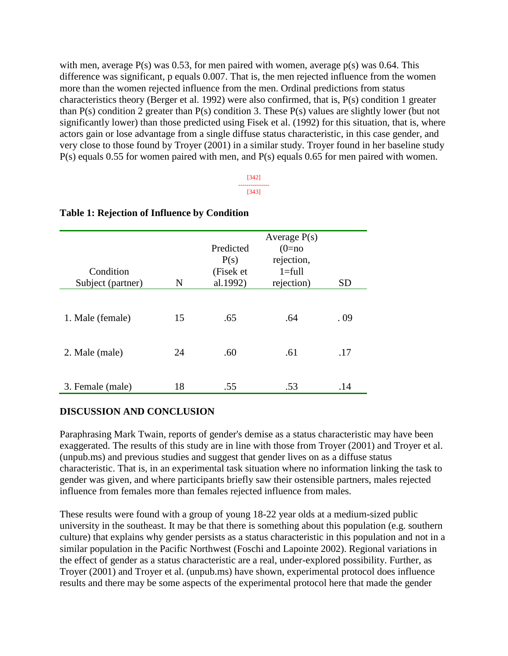with men, average  $P(s)$  was 0.53, for men paired with women, average  $p(s)$  was 0.64. This difference was significant, p equals 0.007. That is, the men rejected influence from the women more than the women rejected influence from the men. Ordinal predictions from status characteristics theory (Berger et al. 1992) were also confirmed, that is, P(s) condition 1 greater than  $P(s)$  condition 2 greater than  $P(s)$  condition 3. These  $P(s)$  values are slightly lower (but not significantly lower) than those predicted using Fisek et al. (1992) for this situation, that is, where actors gain or lose advantage from a single diffuse status characteristic, in this case gender, and very close to those found by Troyer (2001) in a similar study. Troyer found in her baseline study P(s) equals 0.55 for women paired with men, and P(s) equals 0.65 for men paired with women.

> [342] --------------- [343]

| Condition<br>Subject (partner) | N  | Predicted<br>P(s)<br>(Fisek et<br>al.1992) | Average $P(s)$<br>$(0=no$<br>rejection,<br>$1 = full$<br>rejection) | <b>SD</b> |
|--------------------------------|----|--------------------------------------------|---------------------------------------------------------------------|-----------|
| 1. Male (female)               | 15 | .65                                        | .64                                                                 | . 09      |
| 2. Male (male)                 | 24 | .60                                        | .61                                                                 | .17       |
| 3. Female (male)               | 18 | .55                                        | .53                                                                 | .14       |

#### **Table 1: Rejection of Influence by Condition**

#### **DISCUSSION AND CONCLUSION**

Paraphrasing Mark Twain, reports of gender's demise as a status characteristic may have been exaggerated. The results of this study are in line with those from Troyer (2001) and Troyer et al. (unpub.ms) and previous studies and suggest that gender lives on as a diffuse status characteristic. That is, in an experimental task situation where no information linking the task to gender was given, and where participants briefly saw their ostensible partners, males rejected influence from females more than females rejected influence from males.

These results were found with a group of young 18-22 year olds at a medium-sized public university in the southeast. It may be that there is something about this population (e.g. southern culture) that explains why gender persists as a status characteristic in this population and not in a similar population in the Pacific Northwest (Foschi and Lapointe 2002). Regional variations in the effect of gender as a status characteristic are a real, under-explored possibility. Further, as Troyer (2001) and Troyer et al. (unpub.ms) have shown, experimental protocol does influence results and there may be some aspects of the experimental protocol here that made the gender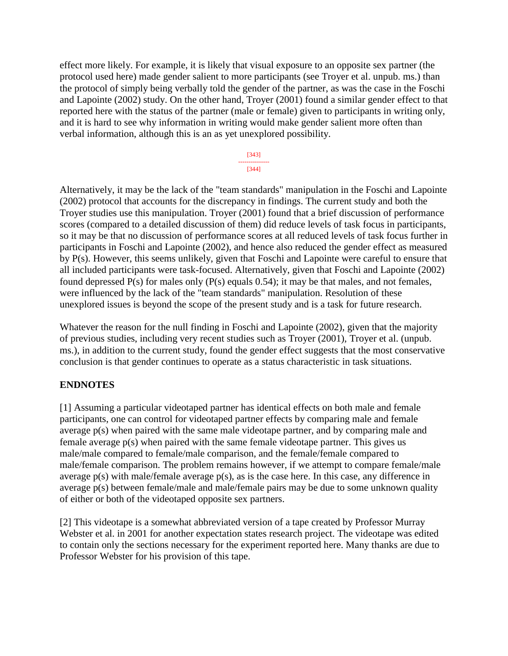effect more likely. For example, it is likely that visual exposure to an opposite sex partner (the protocol used here) made gender salient to more participants (see Troyer et al. unpub. ms.) than the protocol of simply being verbally told the gender of the partner, as was the case in the Foschi and Lapointe (2002) study. On the other hand, Troyer (2001) found a similar gender effect to that reported here with the status of the partner (male or female) given to participants in writing only, and it is hard to see why information in writing would make gender salient more often than verbal information, although this is an as yet unexplored possibility.

> [343] --------------- [344]

Alternatively, it may be the lack of the "team standards" manipulation in the Foschi and Lapointe (2002) protocol that accounts for the discrepancy in findings. The current study and both the Troyer studies use this manipulation. Troyer (2001) found that a brief discussion of performance scores (compared to a detailed discussion of them) did reduce levels of task focus in participants, so it may be that no discussion of performance scores at all reduced levels of task focus further in participants in Foschi and Lapointe (2002), and hence also reduced the gender effect as measured by P(s). However, this seems unlikely, given that Foschi and Lapointe were careful to ensure that all included participants were task-focused. Alternatively, given that Foschi and Lapointe (2002) found depressed P(s) for males only (P(s) equals 0.54); it may be that males, and not females, were influenced by the lack of the "team standards" manipulation. Resolution of these unexplored issues is beyond the scope of the present study and is a task for future research.

Whatever the reason for the null finding in Foschi and Lapointe (2002), given that the majority of previous studies, including very recent studies such as Troyer (2001), Troyer et al. (unpub. ms.), in addition to the current study, found the gender effect suggests that the most conservative conclusion is that gender continues to operate as a status characteristic in task situations.

## **ENDNOTES**

[1] Assuming a particular videotaped partner has identical effects on both male and female participants, one can control for videotaped partner effects by comparing male and female average p(s) when paired with the same male videotape partner, and by comparing male and female average p(s) when paired with the same female videotape partner. This gives us male/male compared to female/male comparison, and the female/female compared to male/female comparison. The problem remains however, if we attempt to compare female/male average p(s) with male/female average p(s), as is the case here. In this case, any difference in average p(s) between female/male and male/female pairs may be due to some unknown quality of either or both of the videotaped opposite sex partners.

[2] This videotape is a somewhat abbreviated version of a tape created by Professor Murray Webster et al. in 2001 for another expectation states research project. The videotape was edited to contain only the sections necessary for the experiment reported here. Many thanks are due to Professor Webster for his provision of this tape.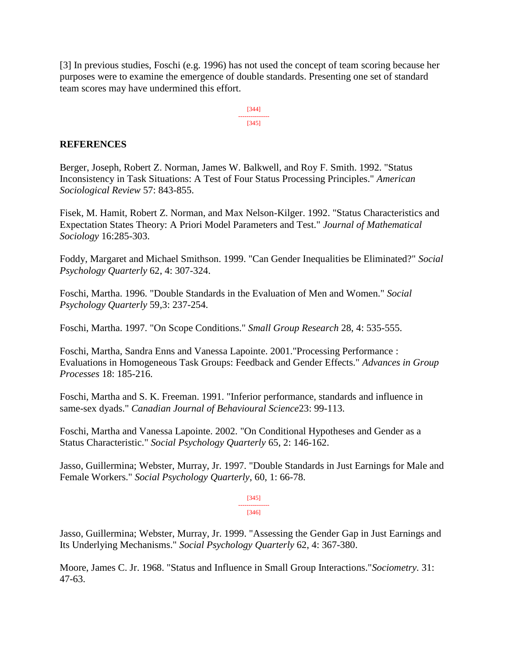[3] In previous studies, Foschi (e.g. 1996) has not used the concept of team scoring because her purposes were to examine the emergence of double standards. Presenting one set of standard team scores may have undermined this effort.

> [344] --------------- [345]

### **REFERENCES**

Berger, Joseph, Robert Z. Norman, James W. Balkwell, and Roy F. Smith. 1992. "Status Inconsistency in Task Situations: A Test of Four Status Processing Principles." *American Sociological Review* 57: 843-855.

Fisek, M. Hamit, Robert Z. Norman, and Max Nelson-Kilger. 1992. "Status Characteristics and Expectation States Theory: A Priori Model Parameters and Test." *Journal of Mathematical Sociology* 16:285-303.

Foddy, Margaret and Michael Smithson. 1999. "Can Gender Inequalities be Eliminated?" *Social Psychology Quarterly* 62, 4: 307-324.

Foschi, Martha. 1996. "Double Standards in the Evaluation of Men and Women." *Social Psychology Quarterly* 59,3: 237-254.

Foschi, Martha. 1997. "On Scope Conditions." *Small Group Research* 28, 4: 535-555.

Foschi, Martha, Sandra Enns and Vanessa Lapointe. 2001."Processing Performance : Evaluations in Homogeneous Task Groups: Feedback and Gender Effects." *Advances in Group Processes* 18: 185-216.

Foschi, Martha and S. K. Freeman. 1991. "Inferior performance, standards and influence in same-sex dyads." *Canadian Journal of Behavioural Science*23: 99-113.

Foschi, Martha and Vanessa Lapointe. 2002. "On Conditional Hypotheses and Gender as a Status Characteristic." *Social Psychology Quarterly* 65, 2: 146-162.

Jasso, Guillermina; Webster, Murray, Jr. 1997. "Double Standards in Just Earnings for Male and Female Workers." *Social Psychology Quarterly*, 60, 1: 66-78.

> [345] --------------- [346]

Jasso, Guillermina; Webster, Murray, Jr. 1999. "Assessing the Gender Gap in Just Earnings and Its Underlying Mechanisms." *Social Psychology Quarterly* 62, 4: 367-380.

Moore, James C. Jr. 1968. "Status and Influence in Small Group Interactions."*Sociometry.* 31: 47-63.